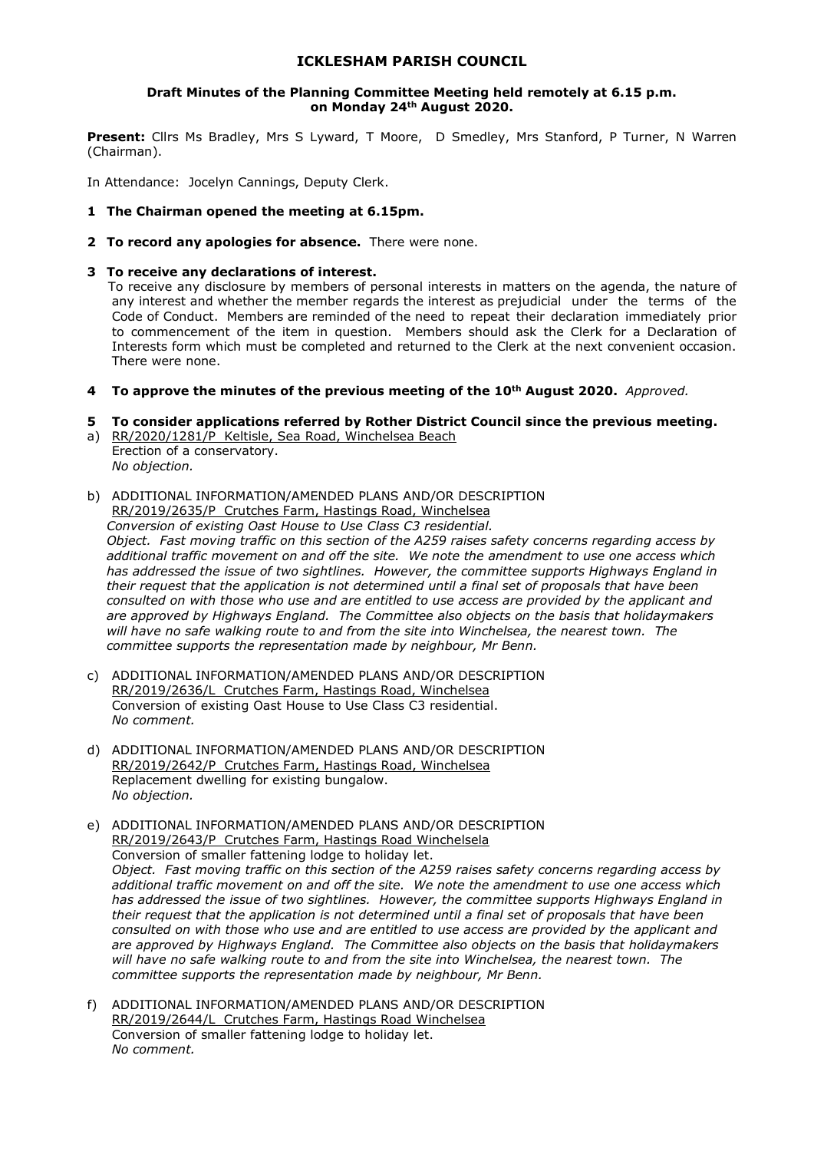## **ICKLESHAM PARISH COUNCIL**

#### **Draft Minutes of the Planning Committee Meeting held remotely at 6.15 p.m. on Monday 24th August 2020.**

**Present:** Cllrs Ms Bradley, Mrs S Lyward, T Moore, D Smedley, Mrs Stanford, P Turner, N Warren (Chairman).

In Attendance: Jocelyn Cannings, Deputy Clerk.

- **1 The Chairman opened the meeting at 6.15pm.**
- **2 To record any apologies for absence.** There were none.
- **3 To receive any declarations of interest.**

To receive any disclosure by members of personal interests in matters on the agenda, the nature of any interest and whether the member regards the interest as prejudicial under the terms of the Code of Conduct. Members are reminded of the need to repeat their declaration immediately prior to commencement of the item in question. Members should ask the Clerk for a Declaration of Interests form which must be completed and returned to the Clerk at the next convenient occasion. There were none.

**4 To approve the minutes of the previous meeting of the 10th August 2020.** *Approved.*

## **5 To consider applications referred by Rother District Council since the previous meeting.**

- a) RR/2020/1281/P Keltisle, Sea Road, Winchelsea Beach Erection of a conservatory. *No objection.*
- b) ADDITIONAL INFORMATION/AMENDED PLANS AND/OR DESCRIPTION RR/2019/2635/P Crutches Farm, Hastings Road, Winchelsea

*Conversion of existing Oast House to Use Class C3 residential. Object. Fast moving traffic on this section of the A259 raises safety concerns regarding access by additional traffic movement on and off the site. We note the amendment to use one access which has addressed the issue of two sightlines. However, the committee supports Highways England in their request that the application is not determined until a final set of proposals that have been consulted on with those who use and are entitled to use access are provided by the applicant and are approved by Highways England. The Committee also objects on the basis that holidaymakers will have no safe walking route to and from the site into Winchelsea, the nearest town. The committee supports the representation made by neighbour, Mr Benn.* 

- c) ADDITIONAL INFORMATION/AMENDED PLANS AND/OR DESCRIPTION RR/2019/2636/L Crutches Farm, Hastings Road, Winchelsea Conversion of existing Oast House to Use Class C3 residential. *No comment.*
- d) ADDITIONAL INFORMATION/AMENDED PLANS AND/OR DESCRIPTION RR/2019/2642/P Crutches Farm, Hastings Road, Winchelsea Replacement dwelling for existing bungalow. *No objection.*
- e) ADDITIONAL INFORMATION/AMENDED PLANS AND/OR DESCRIPTION RR/2019/2643/P Crutches Farm, Hastings Road Winchelsela Conversion of smaller fattening lodge to holiday let. *Object. Fast moving traffic on this section of the A259 raises safety concerns regarding access by additional traffic movement on and off the site. We note the amendment to use one access which has addressed the issue of two sightlines. However, the committee supports Highways England in their request that the application is not determined until a final set of proposals that have been consulted on with those who use and are entitled to use access are provided by the applicant and are approved by Highways England. The Committee also objects on the basis that holidaymakers will have no safe walking route to and from the site into Winchelsea, the nearest town. The committee supports the representation made by neighbour, Mr Benn.*
- f) ADDITIONAL INFORMATION/AMENDED PLANS AND/OR DESCRIPTION RR/2019/2644/L Crutches Farm, Hastings Road Winchelsea Conversion of smaller fattening lodge to holiday let. *No comment.*